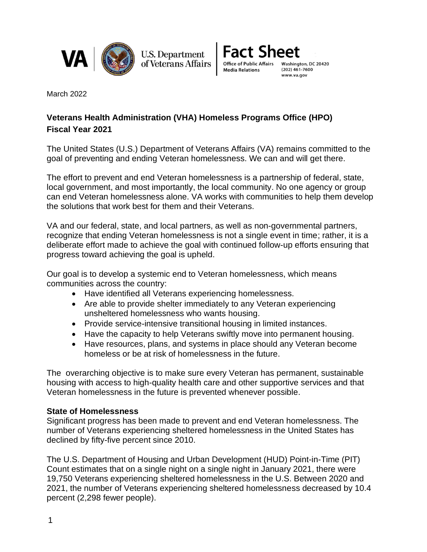

**U.S. Department** of Veterans Affairs



March 2022

# **Veterans Health Administration (VHA) Homeless Programs Office (HPO) Fiscal Year 2021**

The United States (U.S.) Department of Veterans Affairs (VA) remains committed to the goal of preventing and ending Veteran homelessness. We can and will get there.

The effort to prevent and end Veteran homelessness is a partnership of federal, state, local government, and most importantly, the local community. No one agency or group can end Veteran homelessness alone. VA works with communities to help them develop the solutions that work best for them and their Veterans.

VA and our federal, state, and local partners, as well as non-governmental partners, recognize that ending Veteran homelessness is not a single event in time; rather, it is a deliberate effort made to achieve the goal with continued follow-up efforts ensuring that progress toward achieving the goal is upheld.

Our goal is to develop a systemic end to Veteran homelessness, which means communities across the country:

- Have identified all Veterans experiencing homelessness.
- Are able to provide shelter immediately to any Veteran experiencing unsheltered homelessness who wants housing.
- Provide service-intensive transitional housing in limited instances.
- Have the capacity to help Veterans swiftly move into permanent housing.
- Have resources, plans, and systems in place should any Veteran become homeless or be at risk of homelessness in the future.

The overarching objective is to make sure every Veteran has permanent, sustainable housing with access to high-quality health care and other supportive services and that Veteran homelessness in the future is prevented whenever possible.

#### **State of Homelessness**

Significant progress has been made to prevent and end Veteran homelessness. The number of Veterans experiencing sheltered homelessness in the United States has declined by fifty-five percent since 2010.

The U.S. Department of Housing and Urban Development (HUD) Point-in-Time (PIT) Count estimates that on a single night on a single night in January 2021, there were 19,750 Veterans experiencing sheltered homelessness in the U.S. Between 2020 and 2021, the number of Veterans experiencing sheltered homelessness decreased by 10.4 percent (2,298 fewer people).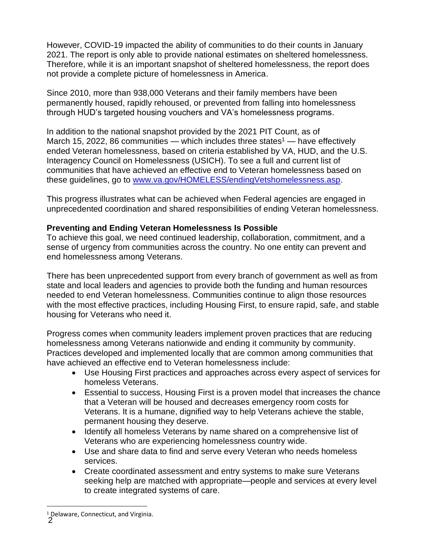However, COVID-19 impacted the ability of communities to do their counts in January 2021. The report is only able to provide national estimates on sheltered homelessness. Therefore, while it is an important snapshot of sheltered homelessness, the report does not provide a complete picture of homelessness in America.

Since 2010, more than 938,000 Veterans and their family members have been permanently housed, rapidly rehoused, or prevented from falling into homelessness through HUD's targeted housing vouchers and VA's homelessness programs.

In addition to the national snapshot provided by the 2021 PIT Count, as of March 15, 2022, 86 communities — which includes three states<sup>1</sup> — have effectively ended Veteran homelessness, based on criteria established by VA, HUD, and the U.S. Interagency Council on Homelessness (USICH). To see a full and current list of communities that have achieved an effective end to Veteran homelessness based on these guidelines, go to [www.va.gov/HOMELESS/endingVetshomelessness.asp.](http://www.va.gov/HOMELESS/endingVetshomelessness.asp)

This progress illustrates what can be achieved when Federal agencies are engaged in unprecedented coordination and shared responsibilities of ending Veteran homelessness.

#### **Preventing and Ending Veteran Homelessness Is Possible**

To achieve this goal, we need continued leadership, collaboration, commitment, and a sense of urgency from communities across the country. No one entity can prevent and end homelessness among Veterans.

There has been unprecedented support from every branch of government as well as from state and local leaders and agencies to provide both the funding and human resources needed to end Veteran homelessness. Communities continue to align those resources with the most effective practices, including Housing First, to ensure rapid, safe, and stable housing for Veterans who need it.

Progress comes when community leaders implement proven practices that are reducing homelessness among Veterans nationwide and ending it community by community. Practices developed and implemented locally that are common among communities that have achieved an effective end to Veteran homelessness include:

- Use Housing First practices and approaches across every aspect of services for homeless Veterans.
- Essential to success, Housing First is a proven model that increases the chance that a Veteran will be housed and decreases emergency room costs for Veterans. It is a humane, dignified way to help Veterans achieve the stable, permanent housing they deserve.
- Identify all homeless Veterans by name shared on a comprehensive list of Veterans who are experiencing homelessness country wide.
- Use and share data to find and serve every Veteran who needs homeless services.
- Create coordinated assessment and entry systems to make sure Veterans seeking help are matched with appropriate—people and services at every level to create integrated systems of care.

<sup>2</sup> <sup>1</sup> Delaware, Connecticut, and Virginia.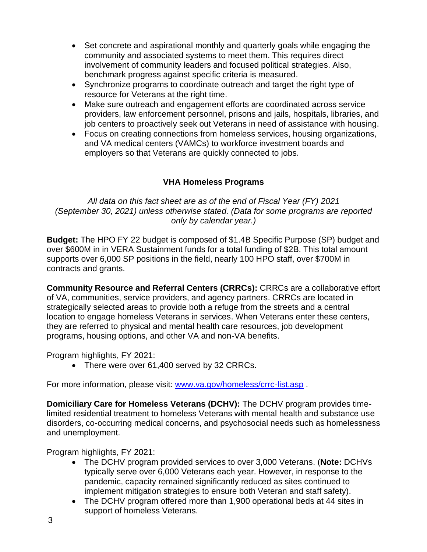- Set concrete and aspirational monthly and quarterly goals while engaging the community and associated systems to meet them. This requires direct involvement of community leaders and focused political strategies. Also, benchmark progress against specific criteria is measured.
- Synchronize programs to coordinate outreach and target the right type of resource for Veterans at the right time.
- Make sure outreach and engagement efforts are coordinated across service providers, law enforcement personnel, prisons and jails, hospitals, libraries, and job centers to proactively seek out Veterans in need of assistance with housing.
- Focus on creating connections from homeless services, housing organizations, and VA medical centers (VAMCs) to workforce investment boards and employers so that Veterans are quickly connected to jobs.

### **VHA Homeless Programs**

*All data on this fact sheet are as of the end of Fiscal Year (FY) 2021 (September 30, 2021) unless otherwise stated. (Data for some programs are reported only by calendar year.)*

**Budget:** The HPO FY 22 budget is composed of \$1.4B Specific Purpose (SP) budget and over \$600M in in VERA Sustainment funds for a total funding of \$2B. This total amount supports over 6,000 SP positions in the field, nearly 100 HPO staff, over \$700M in contracts and grants.

**Community Resource and Referral Centers (CRRCs):** CRRCs are a collaborative effort of VA, communities, service providers, and agency partners. CRRCs are located in strategically selected areas to provide both a refuge from the streets and a central location to engage homeless Veterans in services. When Veterans enter these centers, they are referred to physical and mental health care resources, job development programs, housing options, and other VA and non-VA benefits.

Program highlights, FY 2021:

• There were over 61,400 served by 32 CRRCs.

For more information, please visit: [www.va.gov/homeless/crrc-list.asp](http://www.va.gov/homeless/crrc-list.asp) .

**Domiciliary Care for Homeless Veterans (DCHV):** The DCHV program provides timelimited residential treatment to homeless Veterans with mental health and substance use disorders, co-occurring medical concerns, and psychosocial needs such as homelessness and unemployment.

Program highlights, FY 2021:

- The DCHV program provided services to over 3,000 Veterans. (**Note:** DCHVs typically serve over 6,000 Veterans each year. However, in response to the pandemic, capacity remained significantly reduced as sites continued to implement mitigation strategies to ensure both Veteran and staff safety).
- The DCHV program offered more than 1,900 operational beds at 44 sites in support of homeless Veterans.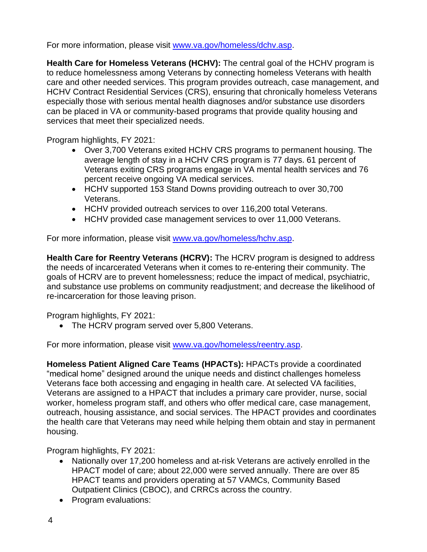For more information, please visit [www.va.gov/homeless/dchv.asp.](https://gcc02.safelinks.protection.outlook.com/?url=http%3A%2F%2Fwww.va.gov%2Fhomeless%2Fdchv.asp&data=04%7C01%7C%7Cc1cf82bddf3a4eff66a508d9ce3d74d0%7Ce95f1b23abaf45ee821db7ab251ab3bf%7C0%7C0%7C637767585606982554%7CUnknown%7CTWFpbGZsb3d8eyJWIjoiMC4wLjAwMDAiLCJQIjoiV2luMzIiLCJBTiI6Ik1haWwiLCJXVCI6Mn0%3D%7C3000&sdata=J%2F1w7Gr1FlXrbnjOUOqjssDH11IpYua9pbqJTDYFf2k%3D&reserved=0)

**Health Care for Homeless Veterans (HCHV):** The central goal of the HCHV program is to reduce homelessness among Veterans by connecting homeless Veterans with health care and other needed services. This program provides outreach, case management, and HCHV Contract Residential Services (CRS), ensuring that chronically homeless Veterans especially those with serious mental health diagnoses and/or substance use disorders can be placed in VA or community-based programs that provide quality housing and services that meet their specialized needs.

Program highlights, FY 2021:

- Over 3,700 Veterans exited HCHV CRS programs to permanent housing. The average length of stay in a HCHV CRS program is 77 days. 61 percent of Veterans exiting CRS programs engage in VA mental health services and 76 percent receive ongoing VA medical services.
- HCHV supported 153 Stand Downs providing outreach to over 30,700 Veterans.
- HCHV provided outreach services to over 116,200 total Veterans.
- HCHV provided case management services to over 11,000 Veterans.

For more information, please visit [www.va.gov/homeless/hchv.asp.](http://www.va.gov/homeless/hchv.asp)

**Health Care for Reentry Veterans (HCRV):** The HCRV program is designed to address the needs of incarcerated Veterans when it comes to re-entering their community. The goals of HCRV are to prevent homelessness; reduce the impact of medical, psychiatric, and substance use problems on community readjustment; and decrease the likelihood of re-incarceration for those leaving prison.

Program highlights, FY 2021:

• The HCRV program served over 5,800 Veterans.

For more information, please visit [www.va.gov/homeless/reentry.asp.](http://www.va.gov/homeless/reentry.asp)

**Homeless Patient Aligned Care Teams (HPACTs):** HPACTs provide a coordinated "medical home" designed around the unique needs and distinct challenges homeless Veterans face both accessing and engaging in health care. At selected VA facilities, Veterans are assigned to a HPACT that includes a primary care provider, nurse, social worker, homeless program staff, and others who offer medical care, case management, outreach, housing assistance, and social services. The HPACT provides and coordinates the health care that Veterans may need while helping them obtain and stay in permanent housing.

Program highlights, FY 2021:

- Nationally over 17,200 homeless and at-risk Veterans are actively enrolled in the HPACT model of care; about 22,000 were served annually. There are over 85 HPACT teams and providers operating at 57 VAMCs, Community Based Outpatient Clinics (CBOC), and CRRCs across the country.
- Program evaluations: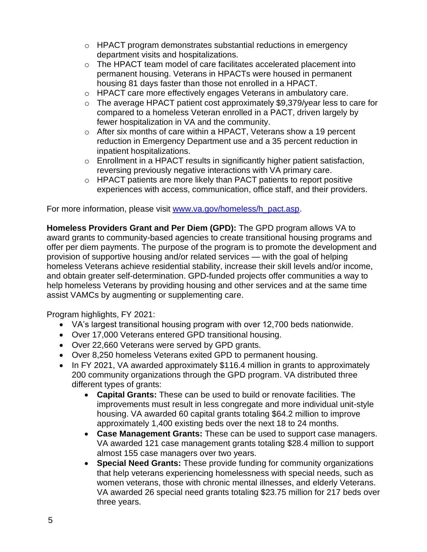- $\circ$  HPACT program demonstrates substantial reductions in emergency department visits and hospitalizations.
- o The HPACT team model of care facilitates accelerated placement into permanent housing. Veterans in HPACTs were housed in permanent housing 81 days faster than those not enrolled in a HPACT.
- o HPACT care more effectively engages Veterans in ambulatory care.
- o The average HPACT patient cost approximately \$9,379/year less to care for compared to a homeless Veteran enrolled in a PACT, driven largely by fewer hospitalization in VA and the community.
- o After six months of care within a HPACT, Veterans show a 19 percent reduction in Emergency Department use and a 35 percent reduction in inpatient hospitalizations.
- o Enrollment in a HPACT results in significantly higher patient satisfaction, reversing previously negative interactions with VA primary care.
- o HPACT patients are more likely than PACT patients to report positive experiences with access, communication, office staff, and their providers.

For more information, please visit [www.va.gov/homeless/h\\_pact.asp.](http://www.va.gov/homeless/h_pact.asp)

**Homeless Providers Grant and Per Diem (GPD):** The GPD program allows VA to award grants to community-based agencies to create transitional housing programs and offer per diem payments. The purpose of the program is to promote the development and provision of supportive housing and/or related services — with the goal of helping homeless Veterans achieve residential stability, increase their skill levels and/or income, and obtain greater self-determination. GPD-funded projects offer communities a way to help homeless Veterans by providing housing and other services and at the same time assist VAMCs by augmenting or supplementing care.

Program highlights, FY 2021:

- VA's largest transitional housing program with over 12,700 beds nationwide.
- Over 17,000 Veterans entered GPD transitional housing.
- Over 22,660 Veterans were served by GPD grants.
- Over 8,250 homeless Veterans exited GPD to permanent housing.
- In FY 2021, VA awarded approximately \$116.4 million in grants to approximately 200 community organizations through the GPD program. VA distributed three different types of grants:
	- **Capital Grants:** These can be used to build or renovate facilities. The improvements must result in less congregate and more individual unit-style housing. VA awarded 60 capital grants totaling \$64.2 million to improve approximately 1,400 existing beds over the next 18 to 24 months.
	- **Case Management Grants:** These can be used to support case managers. VA awarded 121 case management grants totaling \$28.4 million to support almost 155 case managers over two years.
	- **Special Need Grants:** These provide funding for community organizations that help veterans experiencing homelessness with special needs, such as women veterans, those with chronic mental illnesses, and elderly Veterans. VA awarded 26 special need grants totaling \$23.75 million for 217 beds over three years.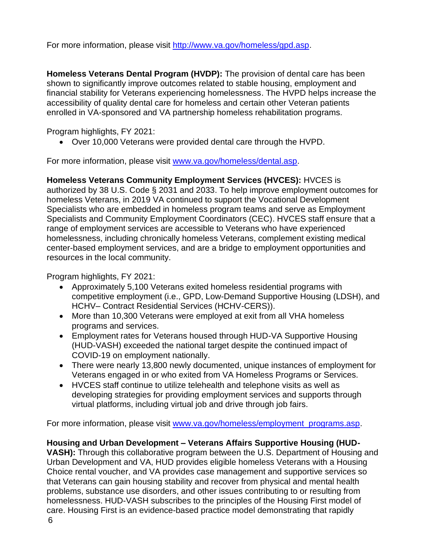For more information, please visit [http://www.va.gov/homeless/gpd.asp.](http://www.va.gov/homeless/gpd.asp)

**Homeless Veterans Dental Program (HVDP):** The provision of dental care has been shown to significantly improve outcomes related to stable housing, employment and financial stability for Veterans experiencing homelessness. The HVPD helps increase the accessibility of quality dental care for homeless and certain other Veteran patients enrolled in VA-sponsored and VA partnership homeless rehabilitation programs.

Program highlights, FY 2021:

• Over 10,000 Veterans were provided dental care through the HVPD.

For more information, please visit [www.va.gov/homeless/dental.asp.](http://www.va.gov/homeless/dental.asp)

### **Homeless Veterans Community Employment Services (HVCES):** HVCES is

authorized by 38 U.S. Code § 2031 and 2033. To help improve employment outcomes for homeless Veterans, in 2019 VA continued to support the Vocational Development Specialists who are embedded in homeless program teams and serve as Employment Specialists and Community Employment Coordinators (CEC). HVCES staff ensure that a range of employment services are accessible to Veterans who have experienced homelessness, including chronically homeless Veterans, complement existing medical center-based employment services, and are a bridge to employment opportunities and resources in the local community.

Program highlights, FY 2021:

- Approximately 5,100 Veterans exited homeless residential programs with competitive employment (i.e., GPD, Low-Demand Supportive Housing (LDSH), and HCHV– Contract Residential Services (HCHV-CERS)).
- More than 10,300 Veterans were employed at exit from all VHA homeless programs and services.
- Employment rates for Veterans housed through HUD-VA Supportive Housing (HUD-VASH) exceeded the national target despite the continued impact of COVID-19 on employment nationally.
- There were nearly 13,800 newly documented, unique instances of employment for Veterans engaged in or who exited from VA Homeless Programs or Services.
- HVCES staff continue to utilize telehealth and telephone visits as well as developing strategies for providing employment services and supports through virtual platforms, including virtual job and drive through job fairs.

For more information, please visit [www.va.gov/homeless/employment\\_programs.asp.](http://www.va.gov/homeless/employment_programs.asp)

## **Housing and Urban Development – Veterans Affairs Supportive Housing (HUD-**

**VASH):** Through this collaborative program between the U.S. Department of Housing and Urban Development and VA, HUD provides eligible homeless Veterans with a Housing Choice rental voucher, and VA provides case management and supportive services so that Veterans can gain housing stability and recover from physical and mental health problems, substance use disorders, and other issues contributing to or resulting from homelessness. HUD-VASH subscribes to the principles of the Housing First model of care. Housing First is an evidence-based practice model demonstrating that rapidly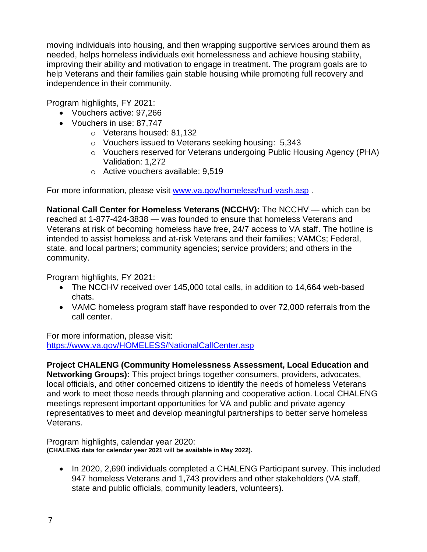moving individuals into housing, and then wrapping supportive services around them as needed, helps homeless individuals exit homelessness and achieve housing stability, improving their ability and motivation to engage in treatment. The program goals are to help Veterans and their families gain stable housing while promoting full recovery and independence in their community.

Program highlights, FY 2021:

- Vouchers active: 97,266
- Vouchers in use: 87,747
	- o Veterans housed: 81,132
	- o Vouchers issued to Veterans seeking housing: 5,343
	- o Vouchers reserved for Veterans undergoing Public Housing Agency (PHA) Validation: 1,272
	- o Active vouchers available: 9,519

For more information, please visit [www.va.gov/homeless/hud-vash.asp](http://www.va.gov/homeless/hud-vash.asp).

**National Call Center for Homeless Veterans (NCCHV):** The NCCHV — which can be reached at 1-877-424-3838 — was founded to ensure that homeless Veterans and Veterans at risk of becoming homeless have free, 24/7 access to VA staff. The hotline is intended to assist homeless and at-risk Veterans and their families; VAMCs; Federal, state, and local partners; community agencies; service providers; and others in the community.

Program highlights, FY 2021:

- The NCCHV received over 145,000 total calls, in addition to 14,664 web-based chats.
- VAMC homeless program staff have responded to over 72,000 referrals from the call center.

For more information, please visit: <https://www.va.gov/HOMELESS/NationalCallCenter.asp>

**Project CHALENG (Community Homelessness Assessment, Local Education and** 

**Networking Groups):** This project brings together consumers, providers, advocates, local officials, and other concerned citizens to identify the needs of homeless Veterans and work to meet those needs through planning and cooperative action. Local CHALENG meetings represent important opportunities for VA and public and private agency representatives to meet and develop meaningful partnerships to better serve homeless Veterans.

Program highlights, calendar year 2020: **(CHALENG data for calendar year 2021 will be available in May 2022).**

• In 2020, 2,690 individuals completed a CHALENG Participant survey. This included 947 homeless Veterans and 1,743 providers and other stakeholders (VA staff, state and public officials, community leaders, volunteers).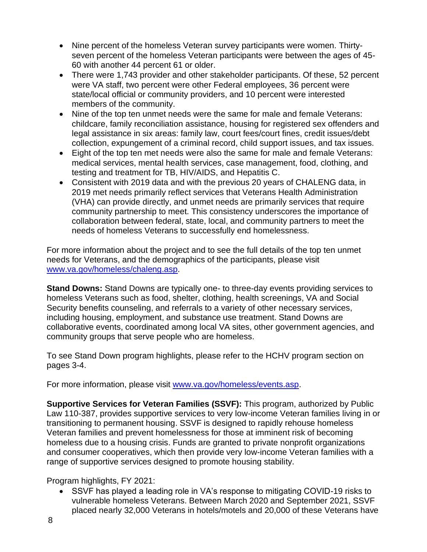- Nine percent of the homeless Veteran survey participants were women. Thirtyseven percent of the homeless Veteran participants were between the ages of 45- 60 with another 44 percent 61 or older.
- There were 1,743 provider and other stakeholder participants. Of these, 52 percent were VA staff, two percent were other Federal employees, 36 percent were state/local official or community providers, and 10 percent were interested members of the community.
- Nine of the top ten unmet needs were the same for male and female Veterans: childcare, family reconciliation assistance, housing for registered sex offenders and legal assistance in six areas: family law, court fees/court fines, credit issues/debt collection, expungement of a criminal record, child support issues, and tax issues.
- Eight of the top ten met needs were also the same for male and female Veterans: medical services, mental health services, case management, food, clothing, and testing and treatment for TB, HIV/AIDS, and Hepatitis C.
- Consistent with 2019 data and with the previous 20 years of CHALENG data, in 2019 met needs primarily reflect services that Veterans Health Administration (VHA) can provide directly, and unmet needs are primarily services that require community partnership to meet. This consistency underscores the importance of collaboration between federal, state, local, and community partners to meet the needs of homeless Veterans to successfully end homelessness.

For more information about the project and to see the full details of the top ten unmet needs for Veterans, and the demographics of the participants, please visit [www.va.gov/homeless/chaleng.asp.](http://www.va.gov/homeless/chaleng.asp)

**Stand Downs:** Stand Downs are typically one- to three-day events providing services to homeless Veterans such as food, shelter, clothing, health screenings, VA and Social Security benefits counseling, and referrals to a variety of other necessary services, including housing, employment, and substance use treatment. Stand Downs are collaborative events, coordinated among local VA sites, other government agencies, and community groups that serve people who are homeless.

To see Stand Down program highlights, please refer to the HCHV program section on pages 3-4.

For more information, please visit [www.va.gov/homeless/events.asp.](http://www.va.gov/homeless/events.asp)

**Supportive Services for Veteran Families (SSVF):** This program, authorized by Public Law 110-387, provides supportive services to very low-income Veteran families living in or transitioning to permanent housing. SSVF is designed to rapidly rehouse homeless Veteran families and prevent homelessness for those at imminent risk of becoming homeless due to a housing crisis. Funds are granted to private nonprofit organizations and consumer cooperatives, which then provide very low-income Veteran families with a range of supportive services designed to promote housing stability.

Program highlights, FY 2021:

• SSVF has played a leading role in VA's response to mitigating COVID-19 risks to vulnerable homeless Veterans. Between March 2020 and September 2021, SSVF placed nearly 32,000 Veterans in hotels/motels and 20,000 of these Veterans have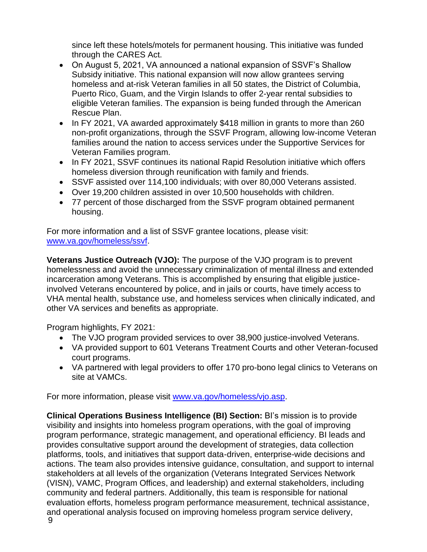since left these hotels/motels for permanent housing. This initiative was funded through the CARES Act.

- On August 5, 2021, VA announced a national expansion of SSVF's Shallow Subsidy initiative. This national expansion will now allow grantees serving homeless and at-risk Veteran families in all 50 states, the District of Columbia, Puerto Rico, Guam, and the Virgin Islands to offer 2-year rental subsidies to eligible Veteran families. The expansion is being funded through the American Rescue Plan.
- In FY 2021, VA awarded approximately \$418 million in grants to more than 260 non-profit organizations, through the SSVF Program, allowing low-income Veteran families around the nation to access services under the Supportive Services for Veteran Families program.
- In FY 2021, SSVF continues its national Rapid Resolution initiative which offers homeless diversion through reunification with family and friends.
- SSVF assisted over 114,100 individuals; with over 80,000 Veterans assisted.
- Over 19,200 children assisted in over 10,500 households with children.
- 77 percent of those discharged from the SSVF program obtained permanent housing.

For more information and a list of SSVF grantee locations, please visit: [www.va.gov/homeless/ssvf.](http://www.va.gov/homeless/ssvf)

**Veterans Justice Outreach (VJO):** The purpose of the VJO program is to prevent homelessness and avoid the unnecessary criminalization of mental illness and extended incarceration among Veterans. This is accomplished by ensuring that eligible justiceinvolved Veterans encountered by police, and in jails or courts, have timely access to VHA mental health, substance use, and homeless services when clinically indicated, and other VA services and benefits as appropriate.

Program highlights, FY 2021:

- The VJO program provided services to over 38,900 justice-involved Veterans.
- VA provided support to 601 Veterans Treatment Courts and other Veteran-focused court programs.
- VA partnered with legal providers to offer 170 pro-bono legal clinics to Veterans on site at VAMCs.

For more information, please visit [www.va.gov/homeless/vjo.asp.](http://www.va.gov/homeless/vjo.asp)

**Clinical Operations Business Intelligence (BI) Section:** BI's mission is to provide visibility and insights into homeless program operations, with the goal of improving program performance, strategic management, and operational efficiency. BI leads and provides consultative support around the development of strategies, data collection platforms, tools, and initiatives that support data-driven, enterprise-wide decisions and actions. The team also provides intensive guidance, consultation, and support to internal stakeholders at all levels of the organization (Veterans Integrated Services Network (VISN), VAMC, Program Offices, and leadership) and external stakeholders, including community and federal partners. Additionally, this team is responsible for national evaluation efforts, homeless program performance measurement, technical assistance, and operational analysis focused on improving homeless program service delivery,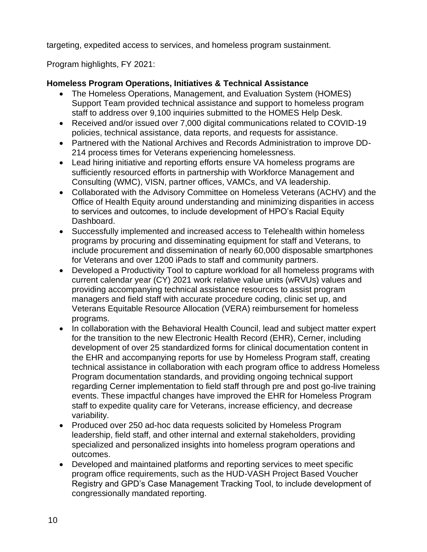targeting, expedited access to services, and homeless program sustainment.

Program highlights, FY 2021:

## **Homeless Program Operations, Initiatives & Technical Assistance**

- The Homeless Operations, Management, and Evaluation System (HOMES) Support Team provided technical assistance and support to homeless program staff to address over 9,100 inquiries submitted to the HOMES Help Desk.
- Received and/or issued over 7,000 digital communications related to COVID-19 policies, technical assistance, data reports, and requests for assistance.
- Partnered with the National Archives and Records Administration to improve DD-214 process times for Veterans experiencing homelessness.
- Lead hiring initiative and reporting efforts ensure VA homeless programs are sufficiently resourced efforts in partnership with Workforce Management and Consulting (WMC), VISN, partner offices, VAMCs, and VA leadership.
- Collaborated with the Advisory Committee on Homeless Veterans (ACHV) and the Office of Health Equity around understanding and minimizing disparities in access to services and outcomes, to include development of HPO's Racial Equity Dashboard.
- Successfully implemented and increased access to Telehealth within homeless programs by procuring and disseminating equipment for staff and Veterans, to include procurement and dissemination of nearly 60,000 disposable smartphones for Veterans and over 1200 iPads to staff and community partners.
- Developed a Productivity Tool to capture workload for all homeless programs with current calendar year (CY) 2021 work relative value units (wRVUs) values and providing accompanying technical assistance resources to assist program managers and field staff with accurate procedure coding, clinic set up, and Veterans Equitable Resource Allocation (VERA) reimbursement for homeless programs.
- In collaboration with the Behavioral Health Council, lead and subject matter expert for the transition to the new Electronic Health Record (EHR), Cerner, including development of over 25 standardized forms for clinical documentation content in the EHR and accompanying reports for use by Homeless Program staff, creating technical assistance in collaboration with each program office to address Homeless Program documentation standards, and providing ongoing technical support regarding Cerner implementation to field staff through pre and post go-live training events. These impactful changes have improved the EHR for Homeless Program staff to expedite quality care for Veterans, increase efficiency, and decrease variability.
- Produced over 250 ad-hoc data requests solicited by Homeless Program leadership, field staff, and other internal and external stakeholders, providing specialized and personalized insights into homeless program operations and outcomes.
- Developed and maintained platforms and reporting services to meet specific program office requirements, such as the HUD-VASH Project Based Voucher Registry and GPD's Case Management Tracking Tool, to include development of congressionally mandated reporting.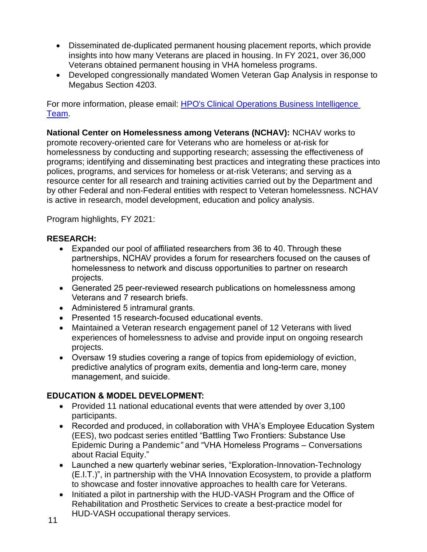- Disseminated de-duplicated permanent housing placement reports, which provide insights into how many Veterans are placed in housing. In FY 2021, over 36,000 Veterans obtained permanent housing in VHA homeless programs.
- Developed congressionally mandated Women Veteran Gap Analysis in response to Megabus Section 4203.

For more information, please email: [HPO's Clinical Operations Business Intelligence](mailto:VHA10NC1HPOAnalyticsTeam@va.gov)  [Team.](mailto:VHA10NC1HPOAnalyticsTeam@va.gov)

**National Center on Homelessness among Veterans (NCHAV):** NCHAV works to promote recovery-oriented care for Veterans who are homeless or at-risk for homelessness by conducting and supporting research; assessing the effectiveness of programs; identifying and disseminating best practices and integrating these practices into polices, programs, and services for homeless or at-risk Veterans; and serving as a resource center for all research and training activities carried out by the Department and by other Federal and non-Federal entities with respect to Veteran homelessness. NCHAV is active in research, model development, education and policy analysis.

Program highlights, FY 2021:

### **RESEARCH:**

- Expanded our pool of affiliated researchers from 36 to 40. Through these partnerships, NCHAV provides a forum for researchers focused on the causes of homelessness to network and discuss opportunities to partner on research projects.
- Generated 25 peer-reviewed research publications on homelessness among Veterans and 7 research briefs.
- Administered 5 intramural grants.
- Presented 15 research-focused educational events.
- Maintained a Veteran research engagement panel of 12 Veterans with lived experiences of homelessness to advise and provide input on ongoing research projects.
- Oversaw 19 studies covering a range of topics from epidemiology of eviction, predictive analytics of program exits, dementia and long-term care, money management, and suicide.

## **EDUCATION & MODEL DEVELOPMENT:**

- Provided 11 national educational events that were attended by over 3,100 participants.
- Recorded and produced, in collaboration with VHA's Employee Education System (EES), two podcast series entitled "Battling Two Frontiers: Substance Use Epidemic During a Pandemic*"* and "VHA Homeless Programs – Conversations about Racial Equity."
- Launched a new quarterly webinar series, "Exploration-Innovation-Technology (E.I.T.)", in partnership with the VHA Innovation Ecosystem, to provide a platform to showcase and foster innovative approaches to health care for Veterans.
- Initiated a pilot in partnership with the HUD-VASH Program and the Office of Rehabilitation and Prosthetic Services to create a best-practice model for HUD-VASH occupational therapy services.